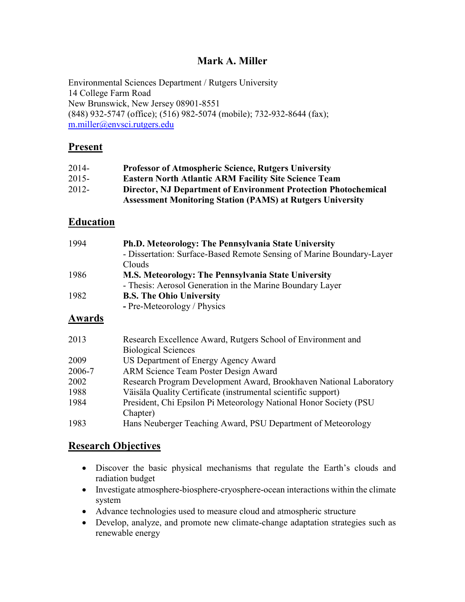## Mark A. Miller

Environmental Sciences Department / Rutgers University 14 College Farm Road New Brunswick, New Jersey 08901-8551 (848) 932-5747 (office); (516) 982-5074 (mobile); 732-932-8644 (fax); m.miller@envsci.rutgers.edu

## **Present**

| $2014-$  | <b>Professor of Atmospheric Science, Rutgers University</b>            |
|----------|------------------------------------------------------------------------|
| $2015 -$ | <b>Eastern North Atlantic ARM Facility Site Science Team</b>           |
| 2012-    | <b>Director, NJ Department of Environment Protection Photochemical</b> |
|          | <b>Assessment Monitoring Station (PAMS) at Rutgers University</b>      |

## Education

| 1994 | <b>Ph.D. Meteorology: The Pennsylvania State University</b>           |
|------|-----------------------------------------------------------------------|
|      | - Dissertation: Surface-Based Remote Sensing of Marine Boundary-Layer |
|      | Clouds                                                                |
| 1986 | <b>M.S. Meteorology: The Pennsylvania State University</b>            |
|      | - Thesis: Aerosol Generation in the Marine Boundary Layer             |
| 1982 | <b>B.S. The Ohio University</b>                                       |
|      | - Pre-Meteorology / Physics                                           |

## Awards

| 2013   | Research Excellence Award, Rutgers School of Environment and       |
|--------|--------------------------------------------------------------------|
|        | <b>Biological Sciences</b>                                         |
| 2009   | US Department of Energy Agency Award                               |
| 2006-7 | ARM Science Team Poster Design Award                               |
| 2002   | Research Program Development Award, Brookhaven National Laboratory |
| 1988   | Väisäla Quality Certificate (instrumental scientific support)      |
| 1984   | President, Chi Epsilon Pi Meteorology National Honor Society (PSU) |
|        | Chapter)                                                           |
| 1983   | Hans Neuberger Teaching Award, PSU Department of Meteorology       |
|        |                                                                    |

## Research Objectives

- Discover the basic physical mechanisms that regulate the Earth's clouds and radiation budget
- Investigate atmosphere-biosphere-cryosphere-ocean interactions within the climate system
- Advance technologies used to measure cloud and atmospheric structure
- Develop, analyze, and promote new climate-change adaptation strategies such as renewable energy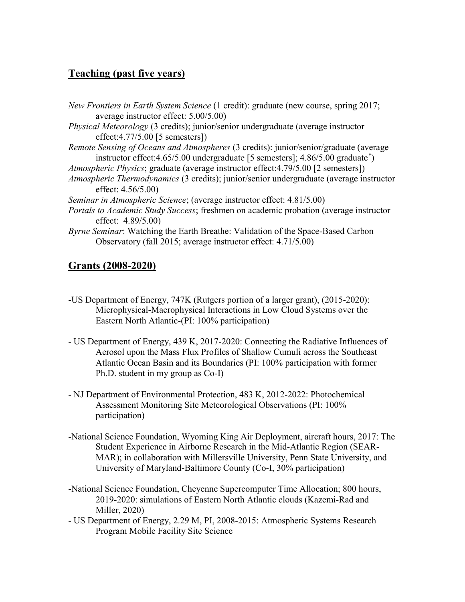# Teaching (past five years)

New Frontiers in Earth System Science (1 credit): graduate (new course, spring 2017; average instructor effect: 5.00/5.00) Physical Meteorology (3 credits); junior/senior undergraduate (average instructor effect:4.77/5.00 [5 semesters]) Remote Sensing of Oceans and Atmospheres (3 credits): junior/senior/graduate (average instructor effect: 4.65/5.00 undergraduate [5 semesters]; 4.86/5.00 graduate<sup>\*</sup>) Atmospheric Physics; graduate (average instructor effect:4.79/5.00 [2 semesters]) Atmospheric Thermodynamics (3 credits); junior/senior undergraduate (average instructor effect: 4.56/5.00) Seminar in Atmospheric Science; (average instructor effect: 4.81/5.00) Portals to Academic Study Success; freshmen on academic probation (average instructor effect: 4.89/5.00) Byrne Seminar: Watching the Earth Breathe: Validation of the Space-Based Carbon Observatory (fall 2015; average instructor effect: 4.71/5.00)

# Grants (2008-2020)

- -US Department of Energy, 747K (Rutgers portion of a larger grant), (2015-2020): Microphysical-Macrophysical Interactions in Low Cloud Systems over the Eastern North Atlantic-(PI: 100% participation)
- US Department of Energy, 439 K, 2017-2020: Connecting the Radiative Influences of Aerosol upon the Mass Flux Profiles of Shallow Cumuli across the Southeast Atlantic Ocean Basin and its Boundaries (PI: 100% participation with former Ph.D. student in my group as Co-I)
- NJ Department of Environmental Protection, 483 K, 2012-2022: Photochemical Assessment Monitoring Site Meteorological Observations (PI: 100% participation)
- -National Science Foundation, Wyoming King Air Deployment, aircraft hours, 2017: The Student Experience in Airborne Research in the Mid-Atlantic Region (SEAR-MAR); in collaboration with Millersville University, Penn State University, and University of Maryland-Baltimore County (Co-I, 30% participation)
- -National Science Foundation, Cheyenne Supercomputer Time Allocation; 800 hours, 2019-2020: simulations of Eastern North Atlantic clouds (Kazemi-Rad and Miller, 2020)
- US Department of Energy, 2.29 M, PI, 2008-2015: Atmospheric Systems Research Program Mobile Facility Site Science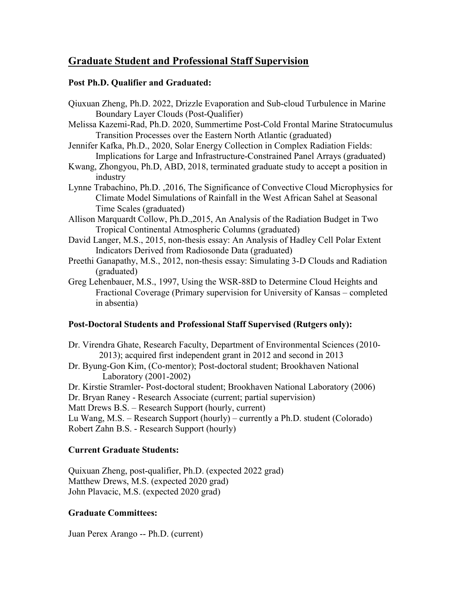# Graduate Student and Professional Staff Supervision

#### Post Ph.D. Qualifier and Graduated:

- Qiuxuan Zheng, Ph.D. 2022, Drizzle Evaporation and Sub-cloud Turbulence in Marine Boundary Layer Clouds (Post-Qualifier)
- Melissa Kazemi-Rad, Ph.D. 2020, Summertime Post-Cold Frontal Marine Stratocumulus Transition Processes over the Eastern North Atlantic (graduated)
- Jennifer Kafka, Ph.D., 2020, Solar Energy Collection in Complex Radiation Fields: Implications for Large and Infrastructure-Constrained Panel Arrays (graduated)
- Kwang, Zhongyou, Ph.D, ABD, 2018, terminated graduate study to accept a position in industry
- Lynne Trabachino, Ph.D. ,2016, The Significance of Convective Cloud Microphysics for Climate Model Simulations of Rainfall in the West African Sahel at Seasonal Time Scales (graduated)
- Allison Marquardt Collow, Ph.D.,2015, An Analysis of the Radiation Budget in Two Tropical Continental Atmospheric Columns (graduated)
- David Langer, M.S., 2015, non-thesis essay: An Analysis of Hadley Cell Polar Extent Indicators Derived from Radiosonde Data (graduated)
- Preethi Ganapathy, M.S., 2012, non-thesis essay: Simulating 3-D Clouds and Radiation (graduated)
- Greg Lehenbauer, M.S., 1997, Using the WSR-88D to Determine Cloud Heights and Fractional Coverage (Primary supervision for University of Kansas – completed in absentia)

## Post-Doctoral Students and Professional Staff Supervised (Rutgers only):

- Dr. Virendra Ghate, Research Faculty, Department of Environmental Sciences (2010- 2013); acquired first independent grant in 2012 and second in 2013
- Dr. Byung-Gon Kim, (Co-mentor); Post-doctoral student; Brookhaven National Laboratory (2001-2002)
- Dr. Kirstie Stramler- Post-doctoral student; Brookhaven National Laboratory (2006)
- Dr. Bryan Raney Research Associate (current; partial supervision)
- Matt Drews B.S. Research Support (hourly, current)
- Lu Wang, M.S. Research Support (hourly) currently a Ph.D. student (Colorado) Robert Zahn B.S. - Research Support (hourly)

## Current Graduate Students:

Quixuan Zheng, post-qualifier, Ph.D. (expected 2022 grad) Matthew Drews, M.S. (expected 2020 grad) John Plavacic, M.S. (expected 2020 grad)

## Graduate Committees:

Juan Perex Arango -- Ph.D. (current)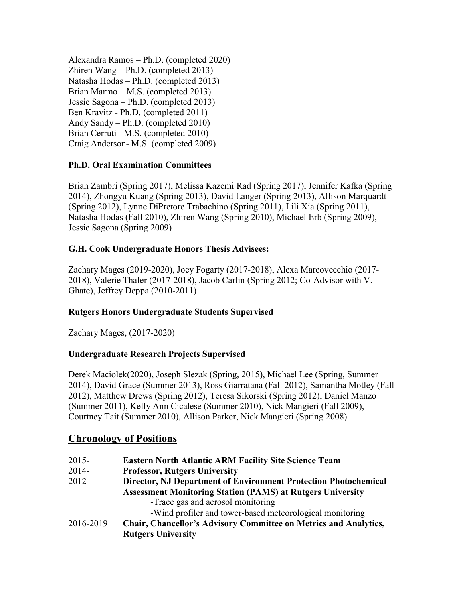Alexandra Ramos – Ph.D. (completed 2020) Zhiren Wang – Ph.D. (completed 2013) Natasha Hodas – Ph.D. (completed 2013) Brian Marmo – M.S. (completed 2013) Jessie Sagona – Ph.D. (completed 2013) Ben Kravitz - Ph.D. (completed 2011) Andy Sandy – Ph.D. (completed 2010) Brian Cerruti - M.S. (completed 2010) Craig Anderson- M.S. (completed 2009)

## Ph.D. Oral Examination Committees

Brian Zambri (Spring 2017), Melissa Kazemi Rad (Spring 2017), Jennifer Kafka (Spring 2014), Zhongyu Kuang (Spring 2013), David Langer (Spring 2013), Allison Marquardt (Spring 2012), Lynne DiPretore Trabachino (Spring 2011), Lili Xia (Spring 2011), Natasha Hodas (Fall 2010), Zhiren Wang (Spring 2010), Michael Erb (Spring 2009), Jessie Sagona (Spring 2009)

## G.H. Cook Undergraduate Honors Thesis Advisees:

Zachary Mages (2019-2020), Joey Fogarty (2017-2018), Alexa Marcovecchio (2017- 2018), Valerie Thaler (2017-2018), Jacob Carlin (Spring 2012; Co-Advisor with V. Ghate), Jeffrey Deppa (2010-2011)

## Rutgers Honors Undergraduate Students Supervised

Zachary Mages, (2017-2020)

## Undergraduate Research Projects Supervised

Derek Maciolek(2020), Joseph Slezak (Spring, 2015), Michael Lee (Spring, Summer 2014), David Grace (Summer 2013), Ross Giarratana (Fall 2012), Samantha Motley (Fall 2012), Matthew Drews (Spring 2012), Teresa Sikorski (Spring 2012), Daniel Manzo (Summer 2011), Kelly Ann Cicalese (Summer 2010), Nick Mangieri (Fall 2009), Courtney Tait (Summer 2010), Allison Parker, Nick Mangieri (Spring 2008)

# Chronology of Positions

- 2015- Eastern North Atlantic ARM Facility Site Science Team
- 2014- Professor, Rutgers University
- 2012- Director, NJ Department of Environment Protection Photochemical Assessment Monitoring Station (PAMS) at Rutgers University
	- -Trace gas and aerosol monitoring
	- -Wind profiler and tower-based meteorological monitoring
- 2016-2019 Chair, Chancellor's Advisory Committee on Metrics and Analytics, Rutgers University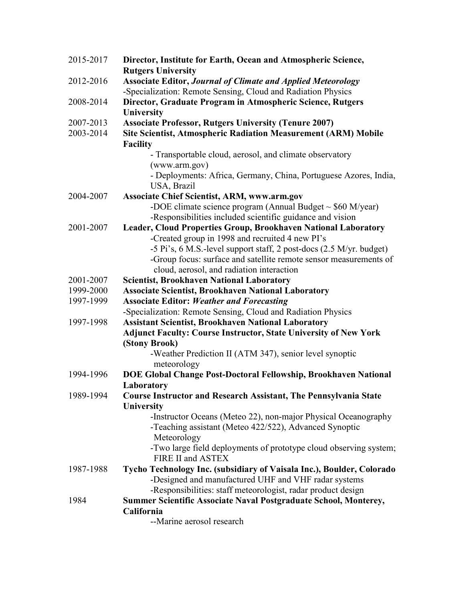| 2015-2017 | Director, Institute for Earth, Ocean and Atmospheric Science,<br><b>Rutgers University</b>                                            |
|-----------|---------------------------------------------------------------------------------------------------------------------------------------|
| 2012-2016 | <b>Associate Editor, Journal of Climate and Applied Meteorology</b>                                                                   |
|           | -Specialization: Remote Sensing, Cloud and Radiation Physics                                                                          |
| 2008-2014 | Director, Graduate Program in Atmospheric Science, Rutgers                                                                            |
|           | University                                                                                                                            |
| 2007-2013 | <b>Associate Professor, Rutgers University (Tenure 2007)</b>                                                                          |
| 2003-2014 | <b>Site Scientist, Atmospheric Radiation Measurement (ARM) Mobile</b>                                                                 |
|           | <b>Facility</b>                                                                                                                       |
|           | - Transportable cloud, aerosol, and climate observatory                                                                               |
|           | (www.arm.gov)                                                                                                                         |
|           | - Deployments: Africa, Germany, China, Portuguese Azores, India,                                                                      |
|           | USA, Brazil                                                                                                                           |
| 2004-2007 | <b>Associate Chief Scientist, ARM, www.arm.gov</b>                                                                                    |
|           | -DOE climate science program (Annual Budget $\sim$ \$60 M/year)                                                                       |
|           | -Responsibilities included scientific guidance and vision                                                                             |
| 2001-2007 | Leader, Cloud Properties Group, Brookhaven National Laboratory                                                                        |
|           | -Created group in 1998 and recruited 4 new PI's                                                                                       |
|           | -5 Pi's, 6 M.S.-level support staff, 2 post-docs (2.5 M/yr. budget)                                                                   |
|           | -Group focus: surface and satellite remote sensor measurements of                                                                     |
|           | cloud, aerosol, and radiation interaction                                                                                             |
| 2001-2007 | <b>Scientist, Brookhaven National Laboratory</b>                                                                                      |
| 1999-2000 | <b>Associate Scientist, Brookhaven National Laboratory</b>                                                                            |
| 1997-1999 | <b>Associate Editor: Weather and Forecasting</b>                                                                                      |
| 1997-1998 | -Specialization: Remote Sensing, Cloud and Radiation Physics                                                                          |
|           | <b>Assistant Scientist, Brookhaven National Laboratory</b><br><b>Adjunct Faculty: Course Instructor, State University of New York</b> |
|           | (Stony Brook)                                                                                                                         |
|           | -Weather Prediction II (ATM 347), senior level synoptic                                                                               |
|           | meteorology                                                                                                                           |
| 1994-1996 | DOE Global Change Post-Doctoral Fellowship, Brookhaven National                                                                       |
|           | Laboratory                                                                                                                            |
| 1989-1994 | <b>Course Instructor and Research Assistant, The Pennsylvania State</b>                                                               |
|           | <b>University</b>                                                                                                                     |
|           | -Instructor Oceans (Meteo 22), non-major Physical Oceanography                                                                        |
|           | -Teaching assistant (Meteo 422/522), Advanced Synoptic                                                                                |
|           | Meteorology                                                                                                                           |
|           | -Two large field deployments of prototype cloud observing system;                                                                     |
|           | FIRE II and ASTEX                                                                                                                     |
| 1987-1988 | Tycho Technology Inc. (subsidiary of Vaisala Inc.), Boulder, Colorado                                                                 |
|           | -Designed and manufactured UHF and VHF radar systems                                                                                  |
|           | -Responsibilities: staff meteorologist, radar product design                                                                          |
| 1984      | Summer Scientific Associate Naval Postgraduate School, Monterey,                                                                      |
|           | California                                                                                                                            |
|           | --Marine aerosol research                                                                                                             |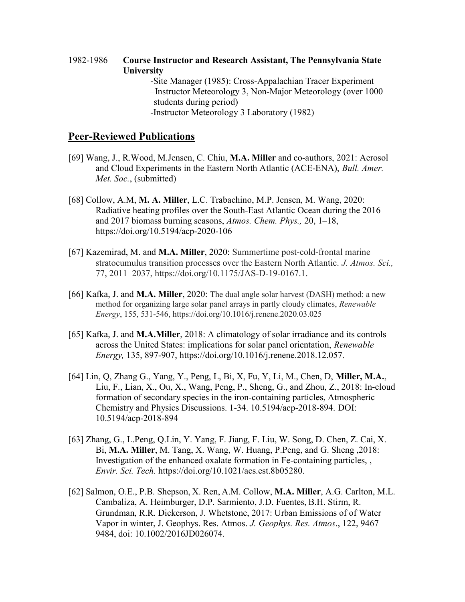1982-1986 Course Instructor and Research Assistant, The Pennsylvania State **University** -Site Manager (1985): Cross-Appalachian Tracer Experiment –Instructor Meteorology 3, Non-Major Meteorology (over 1000 students during period) -Instructor Meteorology 3 Laboratory (1982)

### Peer-Reviewed Publications

- [69] Wang, J., R.Wood, M.Jensen, C. Chiu, M.A. Miller and co-authors, 2021: Aerosol and Cloud Experiments in the Eastern North Atlantic (ACE-ENA), Bull. Amer. Met. Soc., (submitted)
- [68] Collow, A.M, M. A. Miller, L.C. Trabachino, M.P. Jensen, M. Wang, 2020: Radiative heating profiles over the South-East Atlantic Ocean during the 2016 and 2017 biomass burning seasons, Atmos. Chem. Phys., 20, 1–18, https://doi.org/10.5194/acp-2020-106
- [67] Kazemirad, M. and M.A. Miller, 2020: Summertime post-cold-frontal marine stratocumulus transition processes over the Eastern North Atlantic. J. Atmos. Sci., 77, 2011–2037, https://doi.org/10.1175/JAS-D-19-0167.1.
- [66] Kafka, J. and M.A. Miller, 2020: The dual angle solar harvest (DASH) method: a new method for organizing large solar panel arrays in partly cloudy climates, Renewable Energy, 155, 531-546, https://doi.org/10.1016/j.renene.2020.03.025
- [65] Kafka, J. and M.A.Miller, 2018: A climatology of solar irradiance and its controls across the United States: implications for solar panel orientation, Renewable Energy, 135, 897-907, https://doi.org/10.1016/j.renene.2018.12.057.
- [64] Lin, Q, Zhang G., Yang, Y., Peng, L, Bi, X, Fu, Y, Li, M., Chen, D, Miller, M.A., Liu, F., Lian, X., Ou, X., Wang, Peng, P., Sheng, G., and Zhou, Z., 2018: In-cloud formation of secondary species in the iron-containing particles, Atmospheric Chemistry and Physics Discussions. 1-34. 10.5194/acp-2018-894. DOI: 10.5194/acp-2018-894
- [63] Zhang, G., L.Peng, Q.Lin, Y. Yang, F. Jiang, F. Liu, W. Song, D. Chen, Z. Cai, X. Bi, M.A. Miller, M. Tang, X. Wang, W. Huang, P.Peng, and G. Sheng ,2018: Investigation of the enhanced oxalate formation in Fe-containing particles, , Envir. Sci. Tech. https://doi.org/10.1021/acs.est.8b05280.
- [62] Salmon, O.E., P.B. Shepson, X. Ren, A.M. Collow, M.A. Miller, A.G. Carlton, M.L. Cambaliza, A. Heimburger, D.P. Sarmiento, J.D. Fuentes, B.H. Stirm, R. Grundman, R.R. Dickerson, J. Whetstone, 2017: Urban Emissions of of Water Vapor in winter, J. Geophys. Res. Atmos. J. Geophys. Res. Atmos., 122, 9467– 9484, doi: 10.1002/2016JD026074.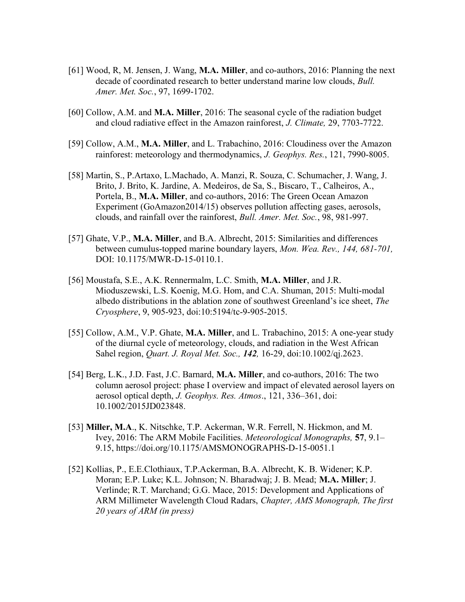- [61] Wood, R, M. Jensen, J. Wang, M.A. Miller, and co-authors, 2016: Planning the next decade of coordinated research to better understand marine low clouds, Bull. Amer. Met. Soc., 97, 1699-1702.
- [60] Collow, A.M. and M.A. Miller, 2016: The seasonal cycle of the radiation budget and cloud radiative effect in the Amazon rainforest, J. Climate, 29, 7703-7722.
- [59] Collow, A.M., M.A. Miller, and L. Trabachino, 2016: Cloudiness over the Amazon rainforest: meteorology and thermodynamics, J. Geophys. Res., 121, 7990-8005.
- [58] Martin, S., P.Artaxo, L.Machado, A. Manzi, R. Souza, C. Schumacher, J. Wang, J. Brito, J. Brito, K. Jardine, A. Medeiros, de Sa, S., Biscaro, T., Calheiros, A., Portela, B., M.A. Miller, and co-authors, 2016: The Green Ocean Amazon Experiment (GoAmazon2014/15) observes pollution affecting gases, aerosols, clouds, and rainfall over the rainforest, Bull. Amer. Met. Soc., 98, 981-997.
- [57] Ghate, V.P., M.A. Miller, and B.A. Albrecht, 2015: Similarities and differences between cumulus-topped marine boundary layers, Mon. Wea. Rev., 144, 681-701, DOI: 10.1175/MWR-D-15-0110.1.
- [56] Moustafa, S.E., A.K. Rennermalm, L.C. Smith, M.A. Miller, and J.R. Mioduszewski, L.S. Koenig, M.G. Hom, and C.A. Shuman, 2015: Multi-modal albedo distributions in the ablation zone of southwest Greenland's ice sheet, The Cryosphere, 9, 905-923, doi:10:5194/tc-9-905-2015.
- [55] Collow, A.M., V.P. Ghate, M.A. Miller, and L. Trabachino, 2015: A one-year study of the diurnal cycle of meteorology, clouds, and radiation in the West African Sahel region, Quart. J. Royal Met. Soc., 142, 16-29, doi:10.1002/qj.2623.
- [54] Berg, L.K., J.D. Fast, J.C. Barnard, M.A. Miller, and co-authors, 2016: The two column aerosol project: phase I overview and impact of elevated aerosol layers on aerosol optical depth, J. Geophys. Res. Atmos., 121, 336–361, doi: 10.1002/2015JD023848.
- [53] Miller, M.A., K. Nitschke, T.P. Ackerman, W.R. Ferrell, N. Hickmon, and M. Ivey, 2016: The ARM Mobile Facilities. Meteorological Monographs, 57, 9.1– 9.15, https://doi.org/10.1175/AMSMONOGRAPHS-D-15-0051.1
- [52] Kollias, P., E.E.Clothiaux, T.P.Ackerman, B.A. Albrecht, K. B. Widener; K.P. Moran; E.P. Luke; K.L. Johnson; N. Bharadwaj; J. B. Mead; M.A. Miller; J. Verlinde; R.T. Marchand; G.G. Mace, 2015: Development and Applications of ARM Millimeter Wavelength Cloud Radars, Chapter, AMS Monograph, The first 20 years of ARM (in press)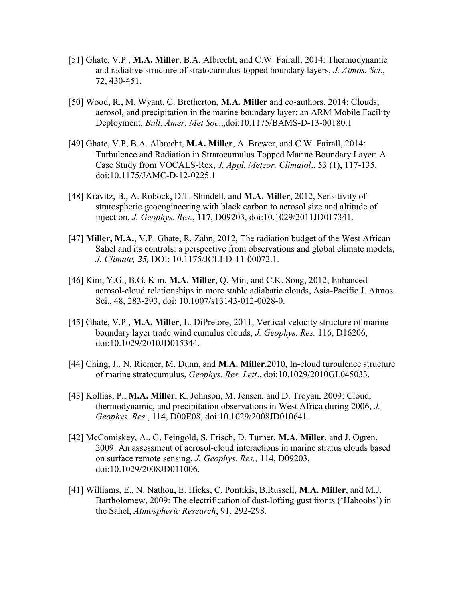- [51] Ghate, V.P., M.A. Miller, B.A. Albrecht, and C.W. Fairall, 2014: Thermodynamic and radiative structure of stratocumulus-topped boundary layers, J. Atmos. Sci., 72, 430-451.
- [50] Wood, R., M. Wyant, C. Bretherton, M.A. Miller and co-authors, 2014: Clouds, aerosol, and precipitation in the marine boundary layer: an ARM Mobile Facility Deployment, Bull. Amer. Met Soc.,,doi:10.1175/BAMS-D-13-00180.1
- [49] Ghate, V.P, B.A. Albrecht, M.A. Miller, A. Brewer, and C.W. Fairall, 2014: Turbulence and Radiation in Stratocumulus Topped Marine Boundary Layer: A Case Study from VOCALS-Rex, J. Appl. Meteor. Climatol., 53 (1), 117-135. doi:10.1175/JAMC-D-12-0225.1
- [48] Kravitz, B., A. Robock, D.T. Shindell, and M.A. Miller, 2012, Sensitivity of stratospheric geoengineering with black carbon to aerosol size and altitude of injection, J. Geophys. Res., 117, D09203, doi:10.1029/2011JD017341.
- [47] Miller, M.A., V.P. Ghate, R. Zahn, 2012, The radiation budget of the West African Sahel and its controls: a perspective from observations and global climate models, J. Climate, 25, DOI: 10.1175/JCLI-D-11-00072.1.
- [46] Kim, Y.G., B.G. Kim, M.A. Miller, Q. Min, and C.K. Song, 2012, Enhanced aerosol-cloud relationships in more stable adiabatic clouds, Asia-Pacific J. Atmos. Sci., 48, 283-293, doi: 10.1007/s13143-012-0028-0.
- [45] Ghate, V.P., M.A. Miller, L. DiPretore, 2011, Vertical velocity structure of marine boundary layer trade wind cumulus clouds, J. Geophys. Res. 116, D16206, doi:10.1029/2010JD015344.
- [44] Ching, J., N. Riemer, M. Dunn, and M.A. Miller,2010, In-cloud turbulence structure of marine stratocumulus, Geophys. Res. Lett., doi:10.1029/2010GL045033.
- [43] Kollias, P., M.A. Miller, K. Johnson, M. Jensen, and D. Troyan, 2009: Cloud, thermodynamic, and precipitation observations in West Africa during 2006, J. Geophys. Res., 114, D00E08, doi:10.1029/2008JD010641.
- [42] McComiskey, A., G. Feingold, S. Frisch, D. Turner, M.A. Miller, and J. Ogren, 2009: An assessment of aerosol-cloud interactions in marine stratus clouds based on surface remote sensing, J. Geophys. Res., 114, D09203, doi:10.1029/2008JD011006.
- [41] Williams, E., N. Nathou, E. Hicks, C. Pontikis, B.Russell, M.A. Miller, and M.J. Bartholomew, 2009: The electrification of dust-lofting gust fronts ('Haboobs') in the Sahel, Atmospheric Research, 91, 292-298.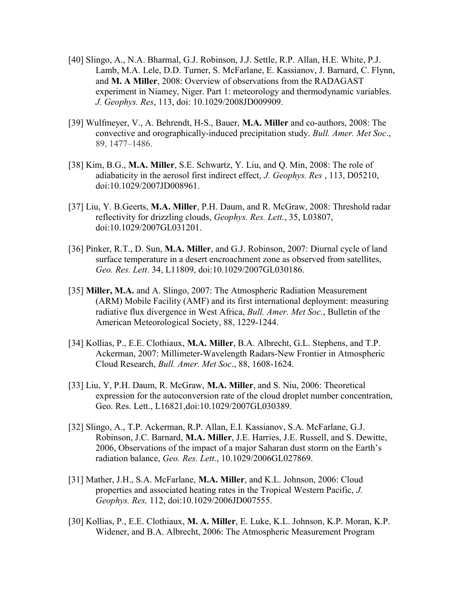- [40] Slingo, A., N.A. Bharmal, G.J. Robinson, J.J. Settle, R.P. Allan, H.E. White, P.J. Lamb, M.A. Lele, D.D. Turner, S. McFarlane, E. Kassianov, J. Barnard, C. Flynn, and M. A Miller, 2008: Overview of observations from the RADAGAST experiment in Niamey, Niger. Part 1: meteorology and thermodynamic variables. J. Geophys. Res, 113, doi: 10.1029/2008JD009909.
- [39] Wulfmeyer, V., A. Behrendt, H-S., Bauer, M.A. Miller and co-authors, 2008: The convective and orographically-induced precipitation study. Bull. Amer. Met Soc., 89, 1477–1486.
- [38] Kim, B.G., M.A. Miller, S.E. Schwartz, Y. Liu, and Q. Min, 2008: The role of adiabaticity in the aerosol first indirect effect, J. Geophys. Res, 113, D05210, doi:10.1029/2007JD008961.
- [37] Liu, Y. B.Geerts, M.A. Miller, P.H. Daum, and R. McGraw, 2008: Threshold radar reflectivity for drizzling clouds, Geophys. Res. Lett., 35, L03807, doi:10.1029/2007GL031201.
- [36] Pinker, R.T., D. Sun, M.A. Miller, and G.J. Robinson, 2007: Diurnal cycle of land surface temperature in a desert encroachment zone as observed from satellites, Geo. Res. Lett. 34, L11809, doi:10.1029/2007GL030186.
- [35] Miller, M.A. and A. Slingo, 2007: The Atmospheric Radiation Measurement (ARM) Mobile Facility (AMF) and its first international deployment: measuring radiative flux divergence in West Africa, Bull. Amer. Met Soc., Bulletin of the American Meteorological Society, 88, 1229-1244.
- [34] Kollias, P., E.E. Clothiaux, M.A. Miller, B.A. Albrecht, G.L. Stephens, and T.P. Ackerman, 2007: Millimeter-Wavelength Radars-New Frontier in Atmospheric Cloud Research, Bull. Amer. Met Soc., 88, 1608-1624.
- [33] Liu, Y, P.H. Daum, R. McGraw, M.A. Miller, and S. Niu, 2006: Theoretical expression for the autoconversion rate of the cloud droplet number concentration, Geo. Res. Lett., L16821,doi:10.1029/2007GL030389.
- [32] Slingo, A., T.P. Ackerman, R.P. Allan, E.I. Kassianov, S.A. McFarlane, G.J. Robinson, J.C. Barnard, M.A. Miller, J.E. Harries, J.E. Russell, and S. Dewitte, 2006, Observations of the impact of a major Saharan dust storm on the Earth's radiation balance, Geo. Res. Lett., 10.1029/2006GL027869.
- [31] Mather, J.H., S.A. McFarlane, M.A. Miller, and K.L. Johnson, 2006: Cloud properties and associated heating rates in the Tropical Western Pacific, J. Geophys. Res, 112, doi:10.1029/2006JD007555.
- [30] Kollias, P., E.E. Clothiaux, M. A. Miller, E. Luke, K.L. Johnson, K.P. Moran, K.P. Widener, and B.A. Albrecht, 2006: The Atmospheric Measurement Program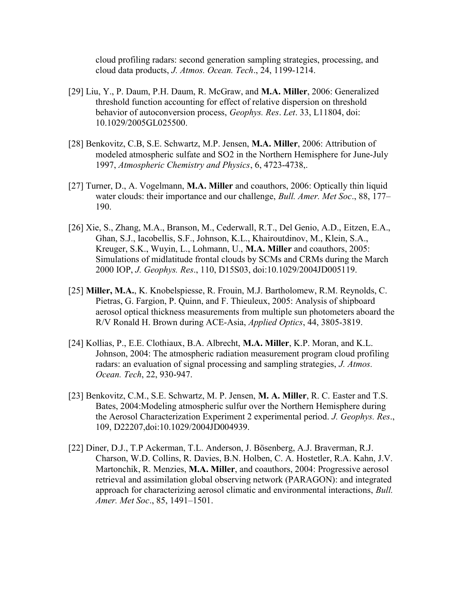cloud profiling radars: second generation sampling strategies, processing, and cloud data products, J. Atmos. Ocean. Tech., 24, 1199-1214.

- [29] Liu, Y., P. Daum, P.H. Daum, R. McGraw, and M.A. Miller, 2006: Generalized threshold function accounting for effect of relative dispersion on threshold behavior of autoconversion process, Geophys. Res. Let. 33, L11804, doi: 10.1029/2005GL025500.
- [28] Benkovitz, C.B, S.E. Schwartz, M.P. Jensen, M.A. Miller, 2006: Attribution of modeled atmospheric sulfate and SO2 in the Northern Hemisphere for June-July 1997, Atmospheric Chemistry and Physics, 6, 4723-4738,.
- [27] Turner, D., A. Vogelmann, M.A. Miller and coauthors, 2006: Optically thin liquid water clouds: their importance and our challenge, *Bull. Amer. Met Soc.*, 88, 177– 190.
- [26] Xie, S., Zhang, M.A., Branson, M., Cederwall, R.T., Del Genio, A.D., Eitzen, E.A., Ghan, S.J., Iacobellis, S.F., Johnson, K.L., Khairoutdinov, M., Klein, S.A., Kreuger, S.K., Wuyin, L., Lohmann, U., M.A. Miller and coauthors, 2005: Simulations of midlatitude frontal clouds by SCMs and CRMs during the March 2000 IOP, J. Geophys. Res., 110, D15S03, doi:10.1029/2004JD005119.
- [25] Miller, M.A., K. Knobelspiesse, R. Frouin, M.J. Bartholomew, R.M. Reynolds, C. Pietras, G. Fargion, P. Quinn, and F. Thieuleux, 2005: Analysis of shipboard aerosol optical thickness measurements from multiple sun photometers aboard the R/V Ronald H. Brown during ACE-Asia, Applied Optics, 44, 3805-3819.
- [24] Kollias, P., E.E. Clothiaux, B.A. Albrecht, M.A. Miller, K.P. Moran, and K.L. Johnson, 2004: The atmospheric radiation measurement program cloud profiling radars: an evaluation of signal processing and sampling strategies, J. Atmos. Ocean. Tech, 22, 930-947.
- [23] Benkovitz, C.M., S.E. Schwartz, M. P. Jensen, M. A. Miller, R. C. Easter and T.S. Bates, 2004:Modeling atmospheric sulfur over the Northern Hemisphere during the Aerosol Characterization Experiment 2 experimental period. J. Geophys. Res., 109, D22207,doi:10.1029/2004JD004939.
- [22] Diner, D.J., T.P Ackerman, T.L. Anderson, J. Bösenberg, A.J. Braverman, R.J. Charson, W.D. Collins, R. Davies, B.N. Holben, C. A. Hostetler, R.A. Kahn, J.V. Martonchik, R. Menzies, M.A. Miller, and coauthors, 2004: Progressive aerosol retrieval and assimilation global observing network (PARAGON): and integrated approach for characterizing aerosol climatic and environmental interactions, Bull. Amer. Met Soc., 85, 1491–1501.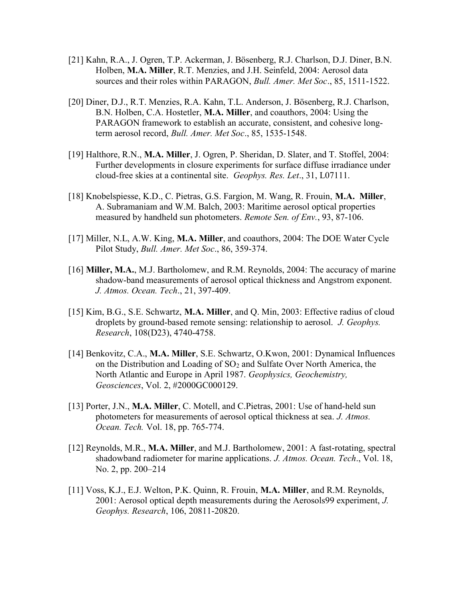- [21] Kahn, R.A., J. Ogren, T.P. Ackerman, J. Bösenberg, R.J. Charlson, D.J. Diner, B.N. Holben, M.A. Miller, R.T. Menzies, and J.H. Seinfeld, 2004: Aerosol data sources and their roles within PARAGON, Bull. Amer. Met Soc., 85, 1511-1522.
- [20] Diner, D.J., R.T. Menzies, R.A. Kahn, T.L. Anderson, J. Bösenberg, R.J. Charlson, B.N. Holben, C.A. Hostetler, M.A. Miller, and coauthors, 2004: Using the PARAGON framework to establish an accurate, consistent, and cohesive longterm aerosol record, Bull. Amer. Met Soc., 85, 1535-1548.
- [19] Halthore, R.N., M.A. Miller, J. Ogren, P. Sheridan, D. Slater, and T. Stoffel, 2004: Further developments in closure experiments for surface diffuse irradiance under cloud-free skies at a continental site. Geophys. Res. Let., 31, L07111.
- [18] Knobelspiesse, K.D., C. Pietras, G.S. Fargion, M. Wang, R. Frouin, M.A. Miller, A. Subramaniam and W.M. Balch, 2003: Maritime aerosol optical properties measured by handheld sun photometers. Remote Sen. of Env., 93, 87-106.
- [17] Miller, N.L, A.W. King, M.A. Miller, and coauthors, 2004: The DOE Water Cycle Pilot Study, Bull. Amer. Met Soc., 86, 359-374.
- [16] Miller, M.A., M.J. Bartholomew, and R.M. Reynolds, 2004: The accuracy of marine shadow-band measurements of aerosol optical thickness and Angstrom exponent. J. Atmos. Ocean. Tech., 21, 397-409.
- [15] Kim, B.G., S.E. Schwartz, M.A. Miller, and Q. Min, 2003: Effective radius of cloud droplets by ground-based remote sensing: relationship to aerosol. J. Geophys. Research, 108(D23), 4740-4758.
- [14] Benkovitz, C.A., M.A. Miller, S.E. Schwartz, O.Kwon, 2001: Dynamical Influences on the Distribution and Loading of  $SO<sub>2</sub>$  and Sulfate Over North America, the North Atlantic and Europe in April 1987. Geophysics, Geochemistry, Geosciences, Vol. 2, #2000GC000129.
- [13] Porter, J.N., M.A. Miller, C. Motell, and C. Pietras, 2001: Use of hand-held sun photometers for measurements of aerosol optical thickness at sea. J. Atmos. Ocean. Tech. Vol. 18, pp. 765-774.
- [12] Reynolds, M.R., M.A. Miller, and M.J. Bartholomew, 2001: A fast-rotating, spectral shadowband radiometer for marine applications. J. Atmos. Ocean. Tech., Vol. 18, No. 2, pp. 200–214
- [11] Voss, K.J., E.J. Welton, P.K. Quinn, R. Frouin, M.A. Miller, and R.M. Reynolds, 2001: Aerosol optical depth measurements during the Aerosols99 experiment, J. Geophys. Research, 106, 20811-20820.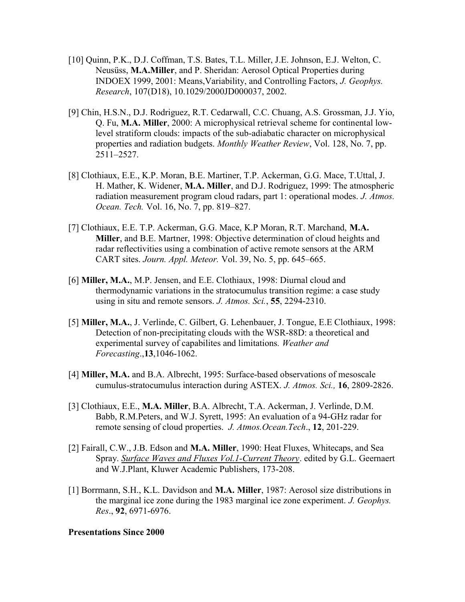- [10] Quinn, P.K., D.J. Coffman, T.S. Bates, T.L. Miller, J.E. Johnson, E.J. Welton, C. Neusüss, M.A.Miller, and P. Sheridan: Aerosol Optical Properties during INDOEX 1999, 2001: Means,Variability, and Controlling Factors, J. Geophys. Research, 107(D18), 10.1029/2000JD000037, 2002.
- [9] Chin, H.S.N., D.J. Rodriguez, R.T. Cedarwall, C.C. Chuang, A.S. Grossman, J.J. Yio, Q. Fu, M.A. Miller, 2000: A microphysical retrieval scheme for continental lowlevel stratiform clouds: impacts of the sub-adiabatic character on microphysical properties and radiation budgets. Monthly Weather Review, Vol. 128, No. 7, pp. 2511–2527.
- [8] Clothiaux, E.E., K.P. Moran, B.E. Martiner, T.P. Ackerman, G.G. Mace, T.Uttal, J. H. Mather, K. Widener, M.A. Miller, and D.J. Rodriguez, 1999: The atmospheric radiation measurement program cloud radars, part 1: operational modes. J. Atmos. Ocean. Tech. Vol. 16, No. 7, pp. 819–827.
- [7] Clothiaux, E.E. T.P. Ackerman, G.G. Mace, K.P Moran, R.T. Marchand, M.A. Miller, and B.E. Martner, 1998: Objective determination of cloud heights and radar reflectivities using a combination of active remote sensors at the ARM CART sites. Journ. Appl. Meteor. Vol. 39, No. 5, pp. 645–665.
- [6] Miller, M.A., M.P. Jensen, and E.E. Clothiaux, 1998: Diurnal cloud and thermodynamic variations in the stratocumulus transition regime: a case study using in situ and remote sensors. J. Atmos. Sci., 55, 2294-2310.
- [5] Miller, M.A., J. Verlinde, C. Gilbert, G. Lehenbauer, J. Tongue, E.E Clothiaux, 1998: Detection of non-precipitating clouds with the WSR-88D: a theoretical and experimental survey of capabilites and limitations. Weather and Forecasting.,13,1046-1062.
- [4] Miller, M.A. and B.A. Albrecht, 1995: Surface-based observations of mesoscale cumulus-stratocumulus interaction during ASTEX. J. Atmos. Sci., 16, 2809-2826.
- [3] Clothiaux, E.E., M.A. Miller, B.A. Albrecht, T.A. Ackerman, J. Verlinde, D.M. Babb, R.M.Peters, and W.J. Syrett, 1995: An evaluation of a 94-GHz radar for remote sensing of cloud properties. J. Atmos. Ocean. Tech., 12, 201-229.
- [2] Fairall, C.W., J.B. Edson and M.A. Miller, 1990: Heat Fluxes, Whitecaps, and Sea Spray. Surface Waves and Fluxes Vol.1-Current Theory. edited by G.L. Geernaert and W.J.Plant, Kluwer Academic Publishers, 173-208.
- [1] Borrmann, S.H., K.L. Davidson and M.A. Miller, 1987: Aerosol size distributions in the marginal ice zone during the 1983 marginal ice zone experiment. J. Geophys. Res., 92, 6971-6976.

#### Presentations Since 2000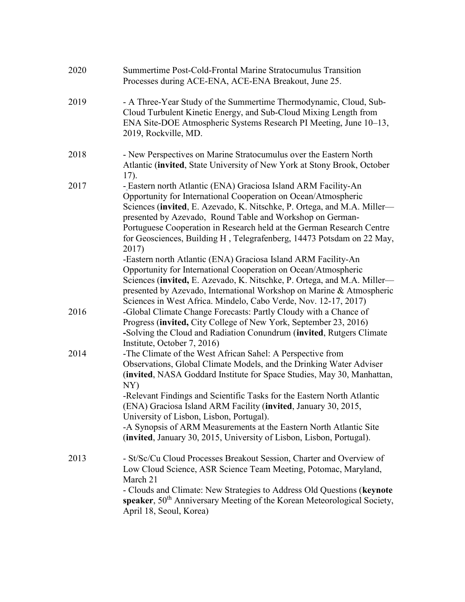| 2019 | - A Three-Year Study of the Summertime Thermodynamic, Cloud, Sub-<br>Cloud Turbulent Kinetic Energy, and Sub-Cloud Mixing Length from<br>ENA Site-DOE Atmospheric Systems Research PI Meeting, June 10–13,<br>2019, Rockville, MD.                                                                                                                                                                                                                                                                                                                                                                                                                                                                                        |
|------|---------------------------------------------------------------------------------------------------------------------------------------------------------------------------------------------------------------------------------------------------------------------------------------------------------------------------------------------------------------------------------------------------------------------------------------------------------------------------------------------------------------------------------------------------------------------------------------------------------------------------------------------------------------------------------------------------------------------------|
| 2018 | - New Perspectives on Marine Stratocumulus over the Eastern North<br>Atlantic (invited, State University of New York at Stony Brook, October<br>17).                                                                                                                                                                                                                                                                                                                                                                                                                                                                                                                                                                      |
| 2017 | - Eastern north Atlantic (ENA) Graciosa Island ARM Facility-An<br>Opportunity for International Cooperation on Ocean/Atmospheric<br>Sciences (invited, E. Azevado, K. Nitschke, P. Ortega, and M.A. Miller—<br>presented by Azevado, Round Table and Workshop on German-<br>Portuguese Cooperation in Research held at the German Research Centre<br>for Geosciences, Building H, Telegrafenberg, 14473 Potsdam on 22 May,<br>2017)<br>-Eastern north Atlantic (ENA) Graciosa Island ARM Facility-An<br>Opportunity for International Cooperation on Ocean/Atmospheric<br>Sciences (invited, E. Azevado, K. Nitschke, P. Ortega, and M.A. Miller—<br>presented by Azevado, International Workshop on Marine & Atmospheric |
| 2016 | Sciences in West Africa. Mindelo, Cabo Verde, Nov. 12-17, 2017)<br>-Global Climate Change Forecasts: Partly Cloudy with a Chance of<br>Progress (invited, City College of New York, September 23, 2016)<br>-Solving the Cloud and Radiation Conundrum (invited, Rutgers Climate<br>Institute, October 7, 2016)                                                                                                                                                                                                                                                                                                                                                                                                            |
| 2014 | -The Climate of the West African Sahel: A Perspective from<br>Observations, Global Climate Models, and the Drinking Water Adviser<br>(invited, NASA Goddard Institute for Space Studies, May 30, Manhattan,<br>NY)<br>-Relevant Findings and Scientific Tasks for the Eastern North Atlantic<br>(ENA) Graciosa Island ARM Facility (invited, January 30, 2015,<br>University of Lisbon, Lisbon, Portugal).<br>-A Synopsis of ARM Measurements at the Eastern North Atlantic Site<br>(invited, January 30, 2015, University of Lisbon, Lisbon, Portugal).                                                                                                                                                                  |
| 2013 | - St/Sc/Cu Cloud Processes Breakout Session, Charter and Overview of<br>Low Cloud Science, ASR Science Team Meeting, Potomac, Maryland,<br>March 21<br>- Clouds and Climate: New Strategies to Address Old Questions (keynote<br>speaker, 50 <sup>th</sup> Anniversary Meeting of the Korean Meteorological Society,<br>April 18, Seoul, Korea)                                                                                                                                                                                                                                                                                                                                                                           |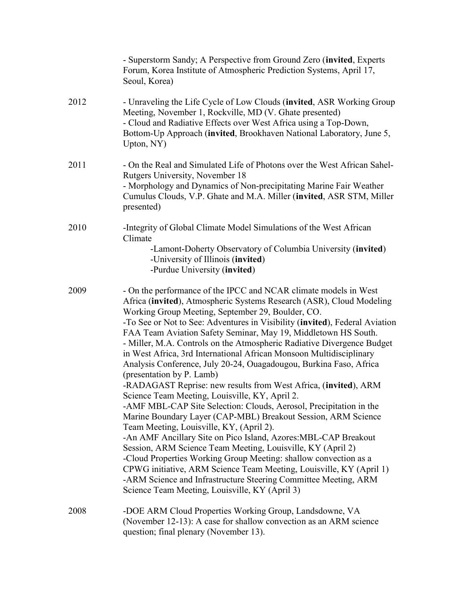|      | - Superstorm Sandy; A Perspective from Ground Zero (invited, Experts<br>Forum, Korea Institute of Atmospheric Prediction Systems, April 17,<br>Seoul, Korea)                                                                                                                                                                                                                                                                                                                                                                                                                                                                                                                                                                                                                                                                                                                                                                                                                                                                                                                                                                                                                                                                                                                                                |
|------|-------------------------------------------------------------------------------------------------------------------------------------------------------------------------------------------------------------------------------------------------------------------------------------------------------------------------------------------------------------------------------------------------------------------------------------------------------------------------------------------------------------------------------------------------------------------------------------------------------------------------------------------------------------------------------------------------------------------------------------------------------------------------------------------------------------------------------------------------------------------------------------------------------------------------------------------------------------------------------------------------------------------------------------------------------------------------------------------------------------------------------------------------------------------------------------------------------------------------------------------------------------------------------------------------------------|
| 2012 | - Unraveling the Life Cycle of Low Clouds (invited, ASR Working Group<br>Meeting, November 1, Rockville, MD (V. Ghate presented)<br>- Cloud and Radiative Effects over West Africa using a Top-Down,<br>Bottom-Up Approach (invited, Brookhaven National Laboratory, June 5,<br>Upton, NY)                                                                                                                                                                                                                                                                                                                                                                                                                                                                                                                                                                                                                                                                                                                                                                                                                                                                                                                                                                                                                  |
| 2011 | - On the Real and Simulated Life of Photons over the West African Sahel-<br>Rutgers University, November 18<br>- Morphology and Dynamics of Non-precipitating Marine Fair Weather<br>Cumulus Clouds, V.P. Ghate and M.A. Miller (invited, ASR STM, Miller<br>presented)                                                                                                                                                                                                                                                                                                                                                                                                                                                                                                                                                                                                                                                                                                                                                                                                                                                                                                                                                                                                                                     |
| 2010 | -Integrity of Global Climate Model Simulations of the West African<br>Climate<br>-Lamont-Doherty Observatory of Columbia University (invited)<br>-University of Illinois (invited)<br>-Purdue University (invited)                                                                                                                                                                                                                                                                                                                                                                                                                                                                                                                                                                                                                                                                                                                                                                                                                                                                                                                                                                                                                                                                                          |
| 2009 | - On the performance of the IPCC and NCAR climate models in West<br>Africa (invited), Atmospheric Systems Research (ASR), Cloud Modeling<br>Working Group Meeting, September 29, Boulder, CO.<br>-To See or Not to See: Adventures in Visibility (invited), Federal Aviation<br>FAA Team Aviation Safety Seminar, May 19, Middletown HS South.<br>- Miller, M.A. Controls on the Atmospheric Radiative Divergence Budget<br>in West Africa, 3rd International African Monsoon Multidisciplinary<br>Analysis Conference, July 20-24, Ouagadougou, Burkina Faso, Africa<br>(presentation by P. Lamb)<br>-RADAGAST Reprise: new results from West Africa, (invited), ARM<br>Science Team Meeting, Louisville, KY, April 2<br>-AMF MBL-CAP Site Selection: Clouds, Aerosol, Precipitation in the<br>Marine Boundary Layer (CAP-MBL) Breakout Session, ARM Science<br>Team Meeting, Louisville, KY, (April 2).<br>-An AMF Ancillary Site on Pico Island, Azores: MBL-CAP Breakout<br>Session, ARM Science Team Meeting, Louisville, KY (April 2)<br>-Cloud Properties Working Group Meeting: shallow convection as a<br>CPWG initiative, ARM Science Team Meeting, Louisville, KY (April 1)<br>-ARM Science and Infrastructure Steering Committee Meeting, ARM<br>Science Team Meeting, Louisville, KY (April 3) |
| 2008 | -DOE ARM Cloud Properties Working Group, Landsdowne, VA<br>(November 12-13): A case for shallow convection as an ARM science<br>question; final plenary (November 13).                                                                                                                                                                                                                                                                                                                                                                                                                                                                                                                                                                                                                                                                                                                                                                                                                                                                                                                                                                                                                                                                                                                                      |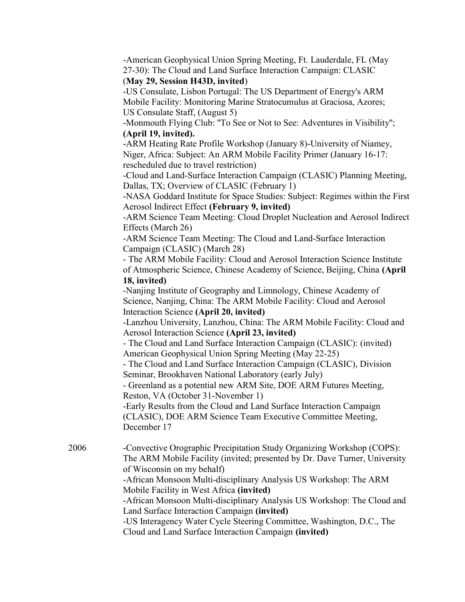-American Geophysical Union Spring Meeting, Ft. Lauderdale, FL (May 27-30): The Cloud and Land Surface Interaction Campaign: CLASIC

#### (May 29, Session H43D, invited)

-US Consulate, Lisbon Portugal: The US Department of Energy's ARM Mobile Facility: Monitoring Marine Stratocumulus at Graciosa, Azores; US Consulate Staff, (August 5)

-Monmouth Flying Club: ''To See or Not to See: Adventures in Visibility''; (April 19, invited).

-ARM Heating Rate Profile Workshop (January 8)-University of Niamey, Niger, Africa: Subject: An ARM Mobile Facility Primer (January 16-17: rescheduled due to travel restriction)

-Cloud and Land-Surface Interaction Campaign (CLASIC) Planning Meeting, Dallas, TX; Overview of CLASIC (February 1)

-NASA Goddard Institute for Space Studies: Subject: Regimes within the First Aerosol Indirect Effect (February 9, invited)

-ARM Science Team Meeting: Cloud Droplet Nucleation and Aerosol Indirect Effects (March 26)

-ARM Science Team Meeting: The Cloud and Land-Surface Interaction Campaign (CLASIC) (March 28)

- The ARM Mobile Facility: Cloud and Aerosol Interaction Science Institute of Atmospheric Science, Chinese Academy of Science, Beijing, China (April

## 18, invited)

-Nanjing Institute of Geography and Limnology, Chinese Academy of Science, Nanjing, China: The ARM Mobile Facility: Cloud and Aerosol Interaction Science (April 20, invited)

-Lanzhou University, Lanzhou, China: The ARM Mobile Facility: Cloud and Aerosol Interaction Science (April 23, invited)

- The Cloud and Land Surface Interaction Campaign (CLASIC): (invited) American Geophysical Union Spring Meeting (May 22-25)

- The Cloud and Land Surface Interaction Campaign (CLASIC), Division Seminar, Brookhaven National Laboratory (early July)

- Greenland as a potential new ARM Site, DOE ARM Futures Meeting, Reston, VA (October 31-November 1)

-Early Results from the Cloud and Land Surface Interaction Campaign (CLASIC), DOE ARM Science Team Executive Committee Meeting, December 17

2006 -Convective Orographic Precipitation Study Organizing Workshop (COPS): The ARM Mobile Facility (invited; presented by Dr. Dave Turner, University of Wisconsin on my behalf)

-African Monsoon Multi-disciplinary Analysis US Workshop: The ARM Mobile Facility in West Africa (invited)

-African Monsoon Multi-disciplinary Analysis US Workshop: The Cloud and Land Surface Interaction Campaign (invited)

-US Interagency Water Cycle Steering Committee, Washington, D.C., The Cloud and Land Surface Interaction Campaign (invited)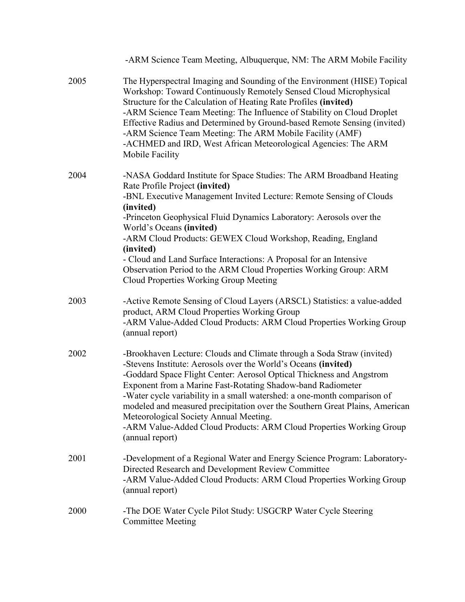|      | -ARM Science Team Meeting, Albuquerque, NM: The ARM Mobile Facility                                                                                                                                                                                                                                                                                                                                                                                                                                                                                                            |
|------|--------------------------------------------------------------------------------------------------------------------------------------------------------------------------------------------------------------------------------------------------------------------------------------------------------------------------------------------------------------------------------------------------------------------------------------------------------------------------------------------------------------------------------------------------------------------------------|
| 2005 | The Hyperspectral Imaging and Sounding of the Environment (HISE) Topical<br>Workshop: Toward Continuously Remotely Sensed Cloud Microphysical<br>Structure for the Calculation of Heating Rate Profiles (invited)<br>-ARM Science Team Meeting: The Influence of Stability on Cloud Droplet<br>Effective Radius and Determined by Ground-based Remote Sensing (invited)<br>-ARM Science Team Meeting: The ARM Mobile Facility (AMF)<br>-ACHMED and IRD, West African Meteorological Agencies: The ARM<br>Mobile Facility                                                       |
| 2004 | -NASA Goddard Institute for Space Studies: The ARM Broadband Heating<br>Rate Profile Project (invited)<br>-BNL Executive Management Invited Lecture: Remote Sensing of Clouds<br>(invited)<br>-Princeton Geophysical Fluid Dynamics Laboratory: Aerosols over the<br>World's Oceans (invited)<br>-ARM Cloud Products: GEWEX Cloud Workshop, Reading, England<br>(invited)<br>- Cloud and Land Surface Interactions: A Proposal for an Intensive<br>Observation Period to the ARM Cloud Properties Working Group: ARM<br>Cloud Properties Working Group Meeting                 |
| 2003 | -Active Remote Sensing of Cloud Layers (ARSCL) Statistics: a value-added<br>product, ARM Cloud Properties Working Group<br>-ARM Value-Added Cloud Products: ARM Cloud Properties Working Group<br>(annual report)                                                                                                                                                                                                                                                                                                                                                              |
| 2002 | -Brookhaven Lecture: Clouds and Climate through a Soda Straw (invited)<br>-Stevens Institute: Aerosols over the World's Oceans (invited)<br>-Goddard Space Flight Center: Aerosol Optical Thickness and Angstrom<br>Exponent from a Marine Fast-Rotating Shadow-band Radiometer<br>-Water cycle variability in a small watershed: a one-month comparison of<br>modeled and measured precipitation over the Southern Great Plains, American<br>Meteorological Society Annual Meeting.<br>-ARM Value-Added Cloud Products: ARM Cloud Properties Working Group<br>(annual report) |
| 2001 | -Development of a Regional Water and Energy Science Program: Laboratory-<br>Directed Research and Development Review Committee<br>-ARM Value-Added Cloud Products: ARM Cloud Properties Working Group<br>(annual report)                                                                                                                                                                                                                                                                                                                                                       |
| 2000 | -The DOE Water Cycle Pilot Study: USGCRP Water Cycle Steering<br><b>Committee Meeting</b>                                                                                                                                                                                                                                                                                                                                                                                                                                                                                      |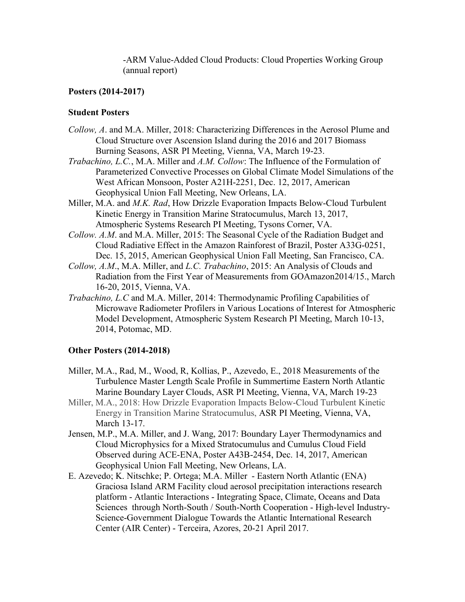-ARM Value-Added Cloud Products: Cloud Properties Working Group (annual report)

#### Posters (2014-2017)

#### Student Posters

- Collow, A. and M.A. Miller, 2018: Characterizing Differences in the Aerosol Plume and Cloud Structure over Ascension Island during the 2016 and 2017 Biomass Burning Seasons, ASR PI Meeting, Vienna, VA, March 19-23.
- Trabachino, L.C., M.A. Miller and A.M. Collow: The Influence of the Formulation of Parameterized Convective Processes on Global Climate Model Simulations of the West African Monsoon, Poster A21H-2251, Dec. 12, 2017, American Geophysical Union Fall Meeting, New Orleans, LA.
- Miller, M.A. and M.K. Rad, How Drizzle Evaporation Impacts Below-Cloud Turbulent Kinetic Energy in Transition Marine Stratocumulus, March 13, 2017, Atmospheric Systems Research PI Meeting, Tysons Corner, VA.
- Collow. A.M. and M.A. Miller, 2015: The Seasonal Cycle of the Radiation Budget and Cloud Radiative Effect in the Amazon Rainforest of Brazil, Poster A33G-0251, Dec. 15, 2015, American Geophysical Union Fall Meeting, San Francisco, CA.
- Collow, A.M., M.A. Miller, and L.C. Trabachino, 2015: An Analysis of Clouds and Radiation from the First Year of Measurements from GOAmazon2014/15., March 16-20, 2015, Vienna, VA.
- Trabachino, L.C and M.A. Miller, 2014: Thermodynamic Profiling Capabilities of Microwave Radiometer Profilers in Various Locations of Interest for Atmospheric Model Development, Atmospheric System Research PI Meeting, March 10-13, 2014, Potomac, MD.

## Other Posters (2014-2018)

- Miller, M.A., Rad, M., Wood, R, Kollias, P., Azevedo, E., 2018 Measurements of the Turbulence Master Length Scale Profile in Summertime Eastern North Atlantic Marine Boundary Layer Clouds, ASR PI Meeting, Vienna, VA, March 19-23
- Miller, M.A., 2018: How Drizzle Evaporation Impacts Below-Cloud Turbulent Kinetic Energy in Transition Marine Stratocumulus, ASR PI Meeting, Vienna, VA, March 13-17.
- Jensen, M.P., M.A. Miller, and J. Wang, 2017: Boundary Layer Thermodynamics and Cloud Microphysics for a Mixed Stratocumulus and Cumulus Cloud Field Observed during ACE-ENA, Poster A43B-2454, Dec. 14, 2017, American Geophysical Union Fall Meeting, New Orleans, LA.
- E. Azevedo; K. Nitschke; P. Ortega; M.A. Miller Eastern North Atlantic (ENA) Graciosa Island ARM Facility cloud aerosol precipitation interactions research platform - Atlantic Interactions - Integrating Space, Climate, Oceans and Data Sciences through North-South / South-North Cooperation - High-level Industry-Science-Government Dialogue Towards the Atlantic International Research Center (AIR Center) - Terceira, Azores, 20-21 April 2017.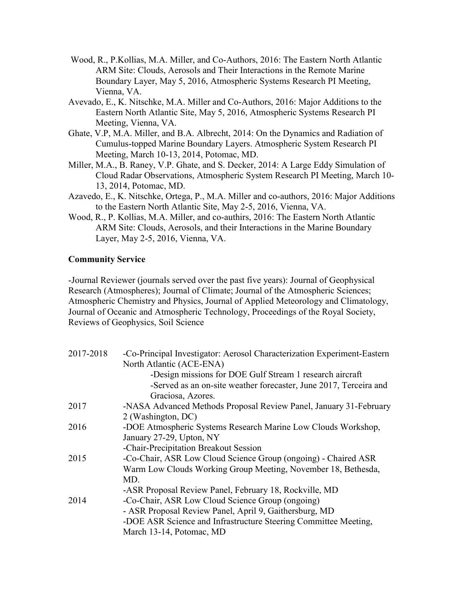- Wood, R., P.Kollias, M.A. Miller, and Co-Authors, 2016: The Eastern North Atlantic ARM Site: Clouds, Aerosols and Their Interactions in the Remote Marine Boundary Layer, May 5, 2016, Atmospheric Systems Research PI Meeting, Vienna, VA.
- Avevado, E., K. Nitschke, M.A. Miller and Co-Authors, 2016: Major Additions to the Eastern North Atlantic Site, May 5, 2016, Atmospheric Systems Research PI Meeting, Vienna, VA.
- Ghate, V.P, M.A. Miller, and B.A. Albrecht, 2014: On the Dynamics and Radiation of Cumulus-topped Marine Boundary Layers. Atmospheric System Research PI Meeting, March 10-13, 2014, Potomac, MD.
- Miller, M.A., B. Raney, V.P. Ghate, and S. Decker, 2014: A Large Eddy Simulation of Cloud Radar Observations, Atmospheric System Research PI Meeting, March 10- 13, 2014, Potomac, MD.
- Azavedo, E., K. Nitschke, Ortega, P., M.A. Miller and co-authors, 2016: Major Additions to the Eastern North Atlantic Site, May 2-5, 2016, Vienna, VA.
- Wood, R., P. Kollias, M.A. Miller, and co-authirs, 2016: The Eastern North Atlantic ARM Site: Clouds, Aerosols, and their Interactions in the Marine Boundary Layer, May 2-5, 2016, Vienna, VA.

#### Community Service

-Journal Reviewer (journals served over the past five years): Journal of Geophysical Research (Atmospheres); Journal of Climate; Journal of the Atmospheric Sciences; Atmospheric Chemistry and Physics, Journal of Applied Meteorology and Climatology, Journal of Oceanic and Atmospheric Technology, Proceedings of the Royal Society, Reviews of Geophysics, Soil Science

| 2017-2018 | -Co-Principal Investigator: Aerosol Characterization Experiment-Eastern |
|-----------|-------------------------------------------------------------------------|
|           | North Atlantic (ACE-ENA)                                                |
|           | -Design missions for DOE Gulf Stream 1 research aircraft                |
|           | -Served as an on-site weather forecaster, June 2017, Terceira and       |
|           | Graciosa, Azores.                                                       |
| 2017      | -NASA Advanced Methods Proposal Review Panel, January 31-February       |
|           | 2 (Washington, DC)                                                      |
| 2016      | -DOE Atmospheric Systems Research Marine Low Clouds Workshop,           |
|           | January 27-29, Upton, NY                                                |
|           | -Chair-Precipitation Breakout Session                                   |
| 2015      | -Co-Chair, ASR Low Cloud Science Group (ongoing) - Chaired ASR          |
|           | Warm Low Clouds Working Group Meeting, November 18, Bethesda,           |
|           | MD.                                                                     |
|           | -ASR Proposal Review Panel, February 18, Rockville, MD                  |
| 2014      | -Co-Chair, ASR Low Cloud Science Group (ongoing)                        |
|           | - ASR Proposal Review Panel, April 9, Gaithersburg, MD                  |
|           | -DOE ASR Science and Infrastructure Steering Committee Meeting,         |
|           | March 13-14, Potomac, MD                                                |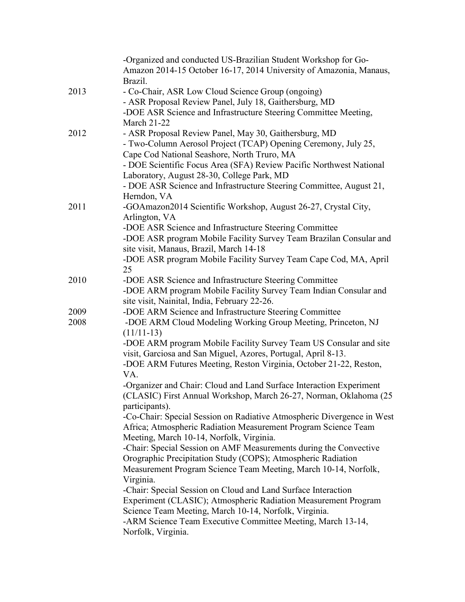|      | -Organized and conducted US-Brazilian Student Workshop for Go-         |
|------|------------------------------------------------------------------------|
|      | Amazon 2014-15 October 16-17, 2014 University of Amazonia, Manaus,     |
|      | Brazil.                                                                |
| 2013 | - Co-Chair, ASR Low Cloud Science Group (ongoing)                      |
|      | - ASR Proposal Review Panel, July 18, Gaithersburg, MD                 |
|      | -DOE ASR Science and Infrastructure Steering Committee Meeting,        |
|      | <b>March 21-22</b>                                                     |
| 2012 | - ASR Proposal Review Panel, May 30, Gaithersburg, MD                  |
|      | - Two-Column Aerosol Project (TCAP) Opening Ceremony, July 25,         |
|      | Cape Cod National Seashore, North Truro, MA                            |
|      | - DOE Scientific Focus Area (SFA) Review Pacific Northwest National    |
|      | Laboratory, August 28-30, College Park, MD                             |
|      | - DOE ASR Science and Infrastructure Steering Committee, August 21,    |
|      | Herndon, VA                                                            |
| 2011 | -GOAmazon2014 Scientific Workshop, August 26-27, Crystal City,         |
|      | Arlington, VA                                                          |
|      | -DOE ASR Science and Infrastructure Steering Committee                 |
|      | -DOE ASR program Mobile Facility Survey Team Brazilan Consular and     |
|      | site visit, Manaus, Brazil, March 14-18                                |
|      |                                                                        |
|      | -DOE ASR program Mobile Facility Survey Team Cape Cod, MA, April<br>25 |
| 2010 |                                                                        |
|      | -DOE ASR Science and Infrastructure Steering Committee                 |
|      | -DOE ARM program Mobile Facility Survey Team Indian Consular and       |
|      | site visit, Nainital, India, February 22-26.                           |
| 2009 | -DOE ARM Science and Infrastructure Steering Committee                 |
| 2008 | -DOE ARM Cloud Modeling Working Group Meeting, Princeton, NJ           |
|      | $(11/11-13)$                                                           |
|      | -DOE ARM program Mobile Facility Survey Team US Consular and site      |
|      | visit, Garciosa and San Miguel, Azores, Portugal, April 8-13.          |
|      | -DOE ARM Futures Meeting, Reston Virginia, October 21-22, Reston,      |
|      | VA.                                                                    |
|      | -Organizer and Chair: Cloud and Land Surface Interaction Experiment    |
|      | (CLASIC) First Annual Workshop, March 26-27, Norman, Oklahoma (25)     |
|      | participants).                                                         |
|      | -Co-Chair: Special Session on Radiative Atmospheric Divergence in West |
|      | Africa; Atmospheric Radiation Measurement Program Science Team         |
|      | Meeting, March 10-14, Norfolk, Virginia.                               |
|      | -Chair: Special Session on AMF Measurements during the Convective      |
|      | Orographic Precipitation Study (COPS); Atmospheric Radiation           |
|      | Measurement Program Science Team Meeting, March 10-14, Norfolk,        |
|      | Virginia.                                                              |
|      | -Chair: Special Session on Cloud and Land Surface Interaction          |
|      | Experiment (CLASIC); Atmospheric Radiation Measurement Program         |
|      | Science Team Meeting, March 10-14, Norfolk, Virginia.                  |
|      | -ARM Science Team Executive Committee Meeting, March 13-14,            |
|      | Norfolk, Virginia.                                                     |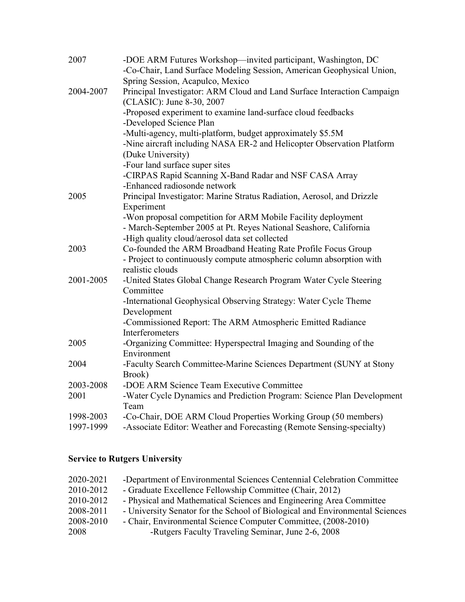| 2007      | -DOE ARM Futures Workshop—invited participant, Washington, DC<br>-Co-Chair, Land Surface Modeling Session, American Geophysical Union,   |
|-----------|------------------------------------------------------------------------------------------------------------------------------------------|
| 2004-2007 | Spring Session, Acapulco, Mexico<br>Principal Investigator: ARM Cloud and Land Surface Interaction Campaign<br>(CLASIC): June 8-30, 2007 |
|           | -Proposed experiment to examine land-surface cloud feedbacks                                                                             |
|           | -Developed Science Plan                                                                                                                  |
|           | -Multi-agency, multi-platform, budget approximately \$5.5M                                                                               |
|           | -Nine aircraft including NASA ER-2 and Helicopter Observation Platform                                                                   |
|           | (Duke University)                                                                                                                        |
|           | -Four land surface super sites                                                                                                           |
|           | -CIRPAS Rapid Scanning X-Band Radar and NSF CASA Array<br>-Enhanced radiosonde network                                                   |
| 2005      | Principal Investigator: Marine Stratus Radiation, Aerosol, and Drizzle<br>Experiment                                                     |
|           | -Won proposal competition for ARM Mobile Facility deployment                                                                             |
|           | - March-September 2005 at Pt. Reyes National Seashore, California<br>-High quality cloud/aerosol data set collected                      |
| 2003      | Co-founded the ARM Broadband Heating Rate Profile Focus Group                                                                            |
|           | - Project to continuously compute atmospheric column absorption with<br>realistic clouds                                                 |
| 2001-2005 | -United States Global Change Research Program Water Cycle Steering                                                                       |
|           | Committee<br>-International Geophysical Observing Strategy: Water Cycle Theme                                                            |
|           | Development                                                                                                                              |
|           | -Commissioned Report: The ARM Atmospheric Emitted Radiance<br>Interferometers                                                            |
| 2005      | -Organizing Committee: Hyperspectral Imaging and Sounding of the                                                                         |
|           | Environment                                                                                                                              |
| 2004      | -Faculty Search Committee-Marine Sciences Department (SUNY at Stony                                                                      |
|           | Brook)                                                                                                                                   |
| 2003-2008 | -DOE ARM Science Team Executive Committee                                                                                                |
| 2001      | -Water Cycle Dynamics and Prediction Program: Science Plan Development<br>Team                                                           |
| 1998-2003 | -Co-Chair, DOE ARM Cloud Properties Working Group (50 members)                                                                           |
| 1997-1999 | -Associate Editor: Weather and Forecasting (Remote Sensing-specialty)                                                                    |

# Service to Rutgers University

| 2020-2021 | -Department of Environmental Sciences Centennial Celebration Committee       |
|-----------|------------------------------------------------------------------------------|
| 2010-2012 | - Graduate Excellence Fellowship Committee (Chair, 2012)                     |
| 2010-2012 | - Physical and Mathematical Sciences and Engineering Area Committee          |
| 2008-2011 | - University Senator for the School of Biological and Environmental Sciences |
| 2008-2010 | - Chair, Environmental Science Computer Committee, (2008-2010)               |
| 2008      | -Rutgers Faculty Traveling Seminar, June 2-6, 2008                           |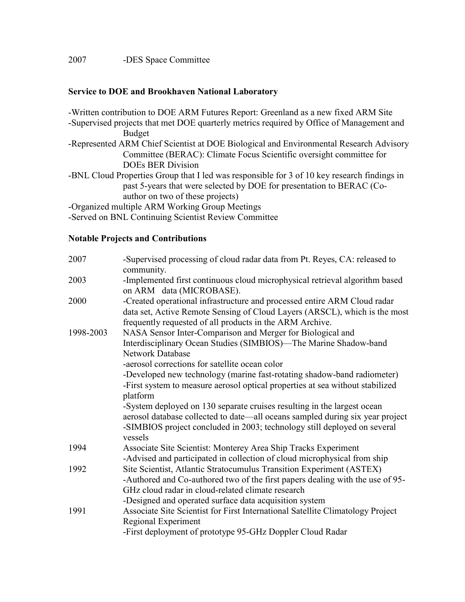#### Service to DOE and Brookhaven National Laboratory

-Written contribution to DOE ARM Futures Report: Greenland as a new fixed ARM Site

- -Supervised projects that met DOE quarterly metrics required by Office of Management and Budget
- -Represented ARM Chief Scientist at DOE Biological and Environmental Research Advisory Committee (BERAC): Climate Focus Scientific oversight committee for DOEs BER Division
- -BNL Cloud Properties Group that I led was responsible for 3 of 10 key research findings in past 5-years that were selected by DOE for presentation to BERAC (Coauthor on two of these projects)

-Organized multiple ARM Working Group Meetings

-Served on BNL Continuing Scientist Review Committee

#### Notable Projects and Contributions

| 2007      | -Supervised processing of cloud radar data from Pt. Reyes, CA: released to<br>community.                                                                                                                                                                                                                                                                                            |
|-----------|-------------------------------------------------------------------------------------------------------------------------------------------------------------------------------------------------------------------------------------------------------------------------------------------------------------------------------------------------------------------------------------|
| 2003      | -Implemented first continuous cloud microphysical retrieval algorithm based<br>on ARM data (MICROBASE).                                                                                                                                                                                                                                                                             |
| 2000      | -Created operational infrastructure and processed entire ARM Cloud radar<br>data set, Active Remote Sensing of Cloud Layers (ARSCL), which is the most<br>frequently requested of all products in the ARM Archive.                                                                                                                                                                  |
| 1998-2003 | NASA Sensor Inter-Comparison and Merger for Biological and<br>Interdisciplinary Ocean Studies (SIMBIOS)—The Marine Shadow-band<br><b>Network Database</b><br>-aerosol corrections for satellite ocean color<br>-Developed new technology (marine fast-rotating shadow-band radiometer)<br>-First system to measure aerosol optical properties at sea without stabilized<br>platform |
|           | -System deployed on 130 separate cruises resulting in the largest ocean<br>aerosol database collected to date—all oceans sampled during six year project<br>-SIMBIOS project concluded in 2003; technology still deployed on several<br>vessels                                                                                                                                     |
| 1994      | Associate Site Scientist: Monterey Area Ship Tracks Experiment<br>-Advised and participated in collection of cloud microphysical from ship                                                                                                                                                                                                                                          |
| 1992      | Site Scientist, Atlantic Stratocumulus Transition Experiment (ASTEX)<br>-Authored and Co-authored two of the first papers dealing with the use of 95-<br>GHz cloud radar in cloud-related climate research<br>-Designed and operated surface data acquisition system                                                                                                                |
| 1991      | Associate Site Scientist for First International Satellite Climatology Project<br>Regional Experiment<br>-First deployment of prototype 95-GHz Doppler Cloud Radar                                                                                                                                                                                                                  |